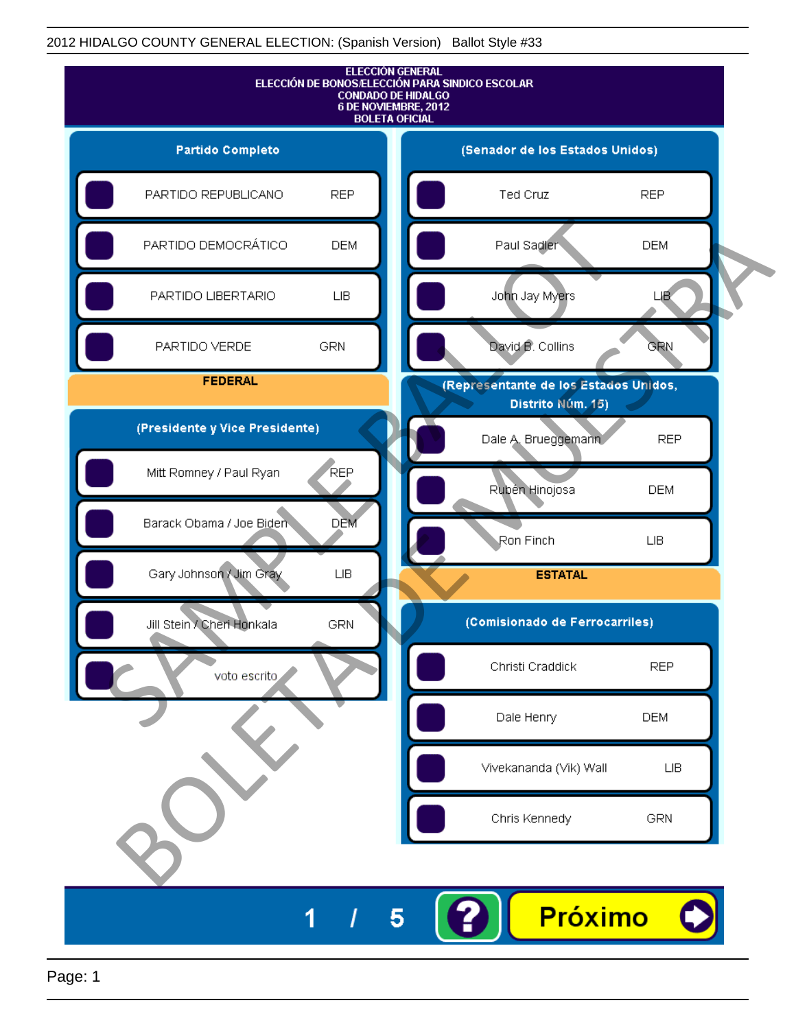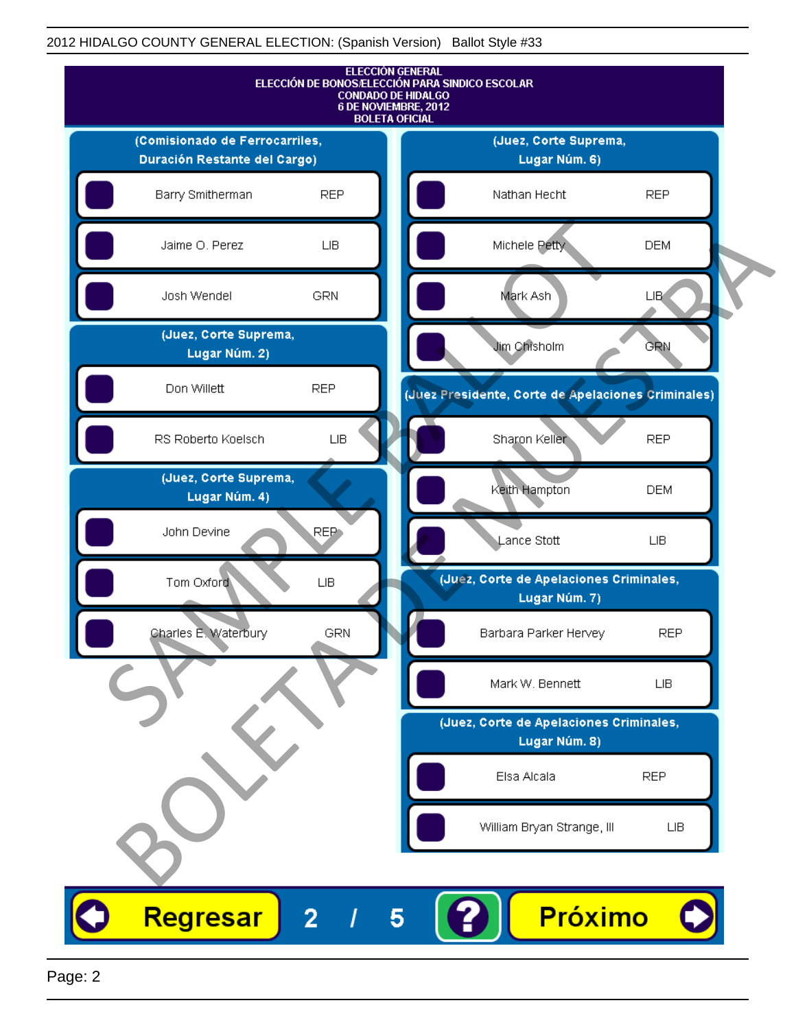

Page: 2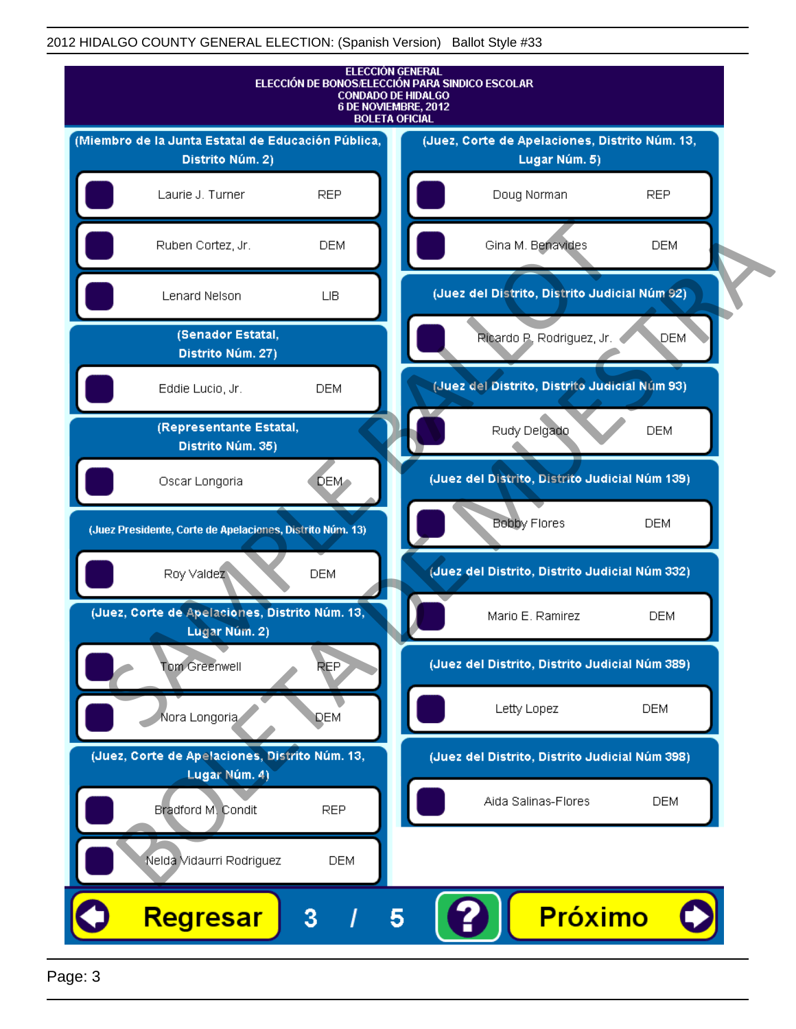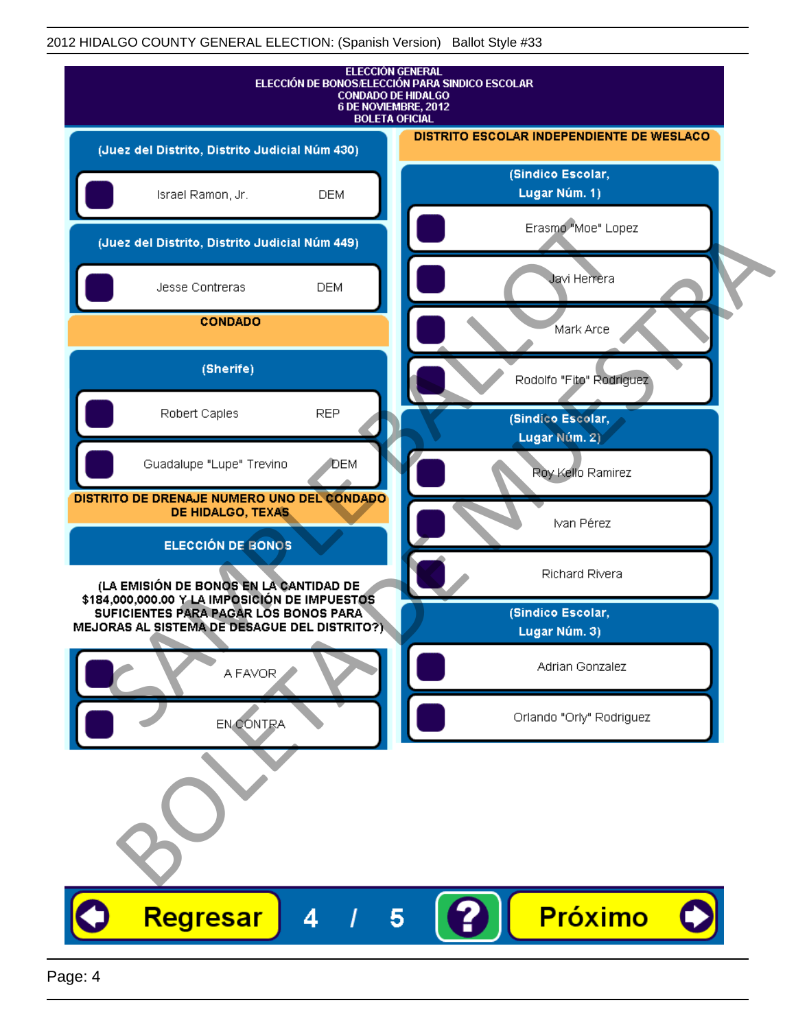| <b>ELECCIÓN GENERAL</b><br>ELECCIÓN DE BONOS/ELECCIÓN PARA SINDICO ESCOLAR<br><b>CONDADO DE HIDALGO</b><br>6 DE NOVIEMBRE, 2012<br><b>BOLETA OFICIAL</b> |                                           |
|----------------------------------------------------------------------------------------------------------------------------------------------------------|-------------------------------------------|
| (Juez del Distrito, Distrito Judicial Núm 430)                                                                                                           | DISTRITO ESCOLAR INDEPENDIENTE DE WESLACO |
| Israel Ramon, Jr.<br><b>DEM</b>                                                                                                                          | (Sindico Escolar,<br>Lugar Núm. 1)        |
| (Juez del Distrito, Distrito Judicial Núm 449)                                                                                                           | Erasmo "Moe" Lopez                        |
| Jesse Contreras<br><b>DEM</b>                                                                                                                            | Javi Herrera                              |
| <b>CONDADO</b>                                                                                                                                           | Mark Arce                                 |
| (Sherife)                                                                                                                                                | Rodolfo "Fito" Rodriguez                  |
| <b>REP</b><br>Robert Caples                                                                                                                              | (Sindico Escolar,<br>Lugar Núm. 2)        |
| Guadalupe "Lupe" Trevino<br>DEM                                                                                                                          | Roy Kello Ramirez                         |
| DISTRITO DE DRENAJE NUMERO UNO DEL CONDADO<br>DE HIDALGO, TEXAS                                                                                          | Ivan Pérez                                |
| <b>ELECCIÓN DE BONOS</b>                                                                                                                                 | Richard Rivera                            |
| (LA EMISIÓN DE BONOS EN LA CANTIDAD DE<br>\$184,000,000.00 Y LA IMPOSICIÓN DE IMPUESTOS<br>SUFICIENTES PARA PAGAR LOS BONOS PARA                         | (Sindico Escolar,                         |
| MEJORAS AL SISTEMA DE DESAGUE DEL DISTRITO?)                                                                                                             | Lugar Núm. 3)                             |
| A FAVOR                                                                                                                                                  | Adrian Gonzalez                           |
| EN CONTRA                                                                                                                                                | Orlando "Orly" Rodriguez                  |
|                                                                                                                                                          |                                           |
| Regresar<br>4<br>5                                                                                                                                       | <b>Próximo</b>                            |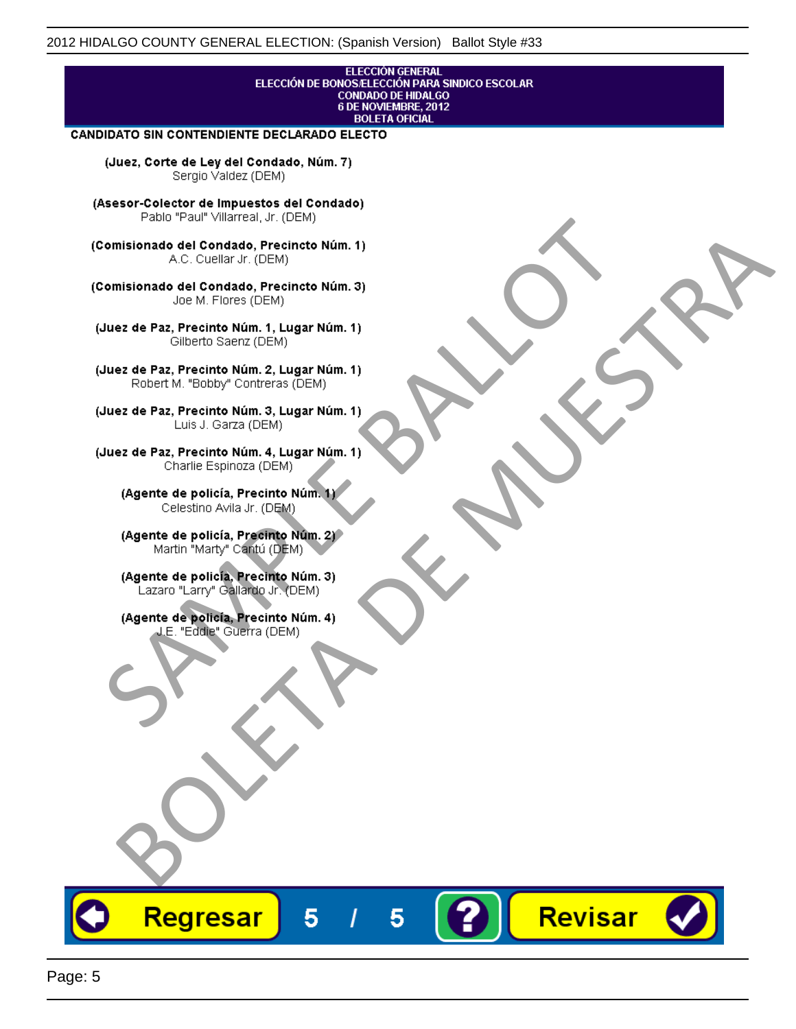## **ELECCIÓN GENERAL** ELECCIÓN DE BONOS/ELECCIÓN PARA SINDICO ESCOLAR<br>CONDADO DE HIDALGO<br>6 DE NOVIEMBRE, 2012 **BOLETA OFICIAL**

Revisar

### CANDIDATO SIN CONTENDIENTE DECLARADO ELECTO

(Juez, Corte de Ley del Condado, Núm. 7) Sergio Valdez (DEM)

(Asesor-Colector de Impuestos del Condado)

Fallo Fall Willdrea, J.I. (DEM)<br>
Consistionado el Condado, Precincto Núm. 1)<br>
A.C. Cuellar Jr. (DEM)<br>
Ullez de Paz, Precinto Núm. 1)<br>
Juez de Paz, Precinto Núm. 1, Lugar Núm. 1)<br>
Gilberto Sentr (DEM)<br>
Robert M. "Bobby" Con misionado del Condiado, Precincto Núm. 1)<br>
Andro del Condiado, Precincto Núm. 3)<br>
ez de Paz, Precinto Núm. 21<br>
algo M. Picer Lo Saerz, (CIEM)<br>
algo M. Picer Lo Saerz, (CIEM)<br>
algo M. Picer Lo Saerz, (CIEM)<br>
ez de Paz, Prec

Regresar

5

5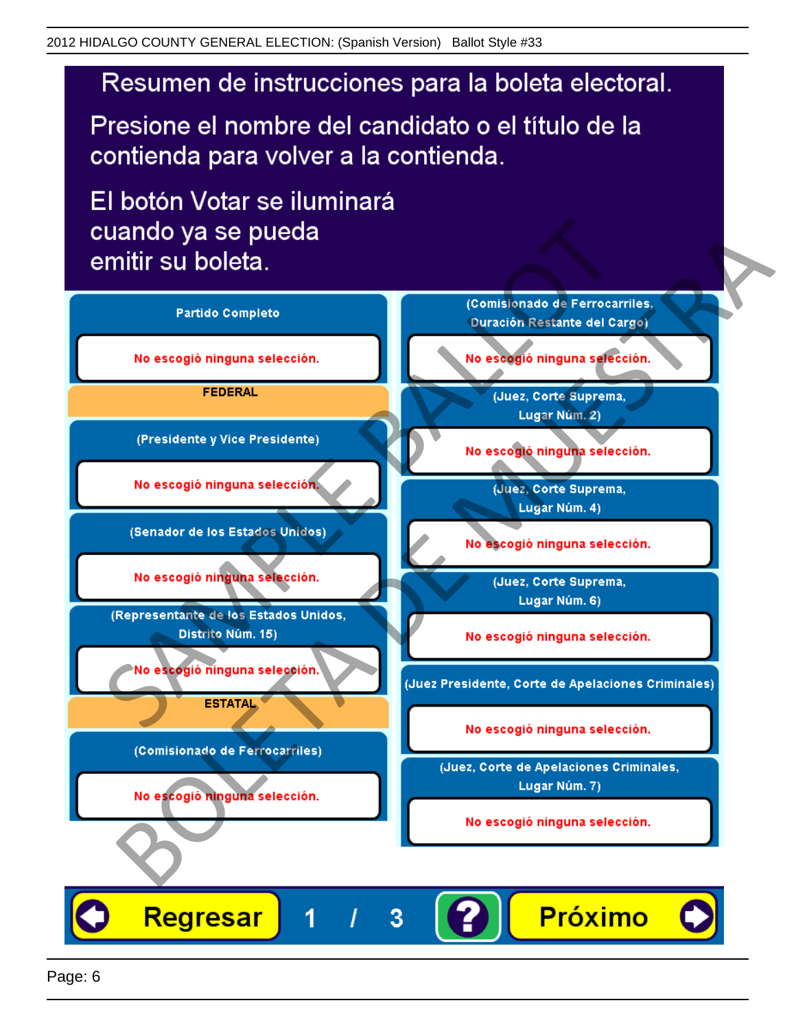# Resumen de instrucciones para la boleta electoral.

Presione el nombre del candidato o el título de la contienda para volver a la contienda.

El botón Votar se iluminará

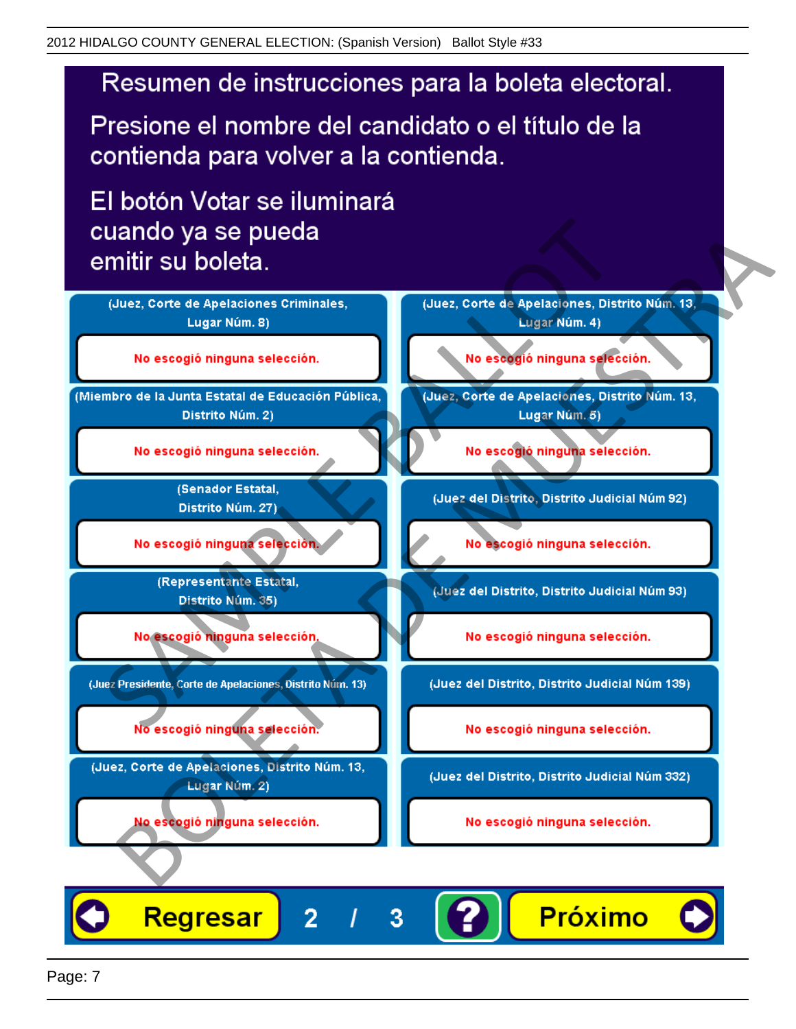# Resumen de instrucciones para la boleta electoral.

Presione el nombre del candidato o el título de la contienda para volver a la contienda.

El botón Votar se iluminará